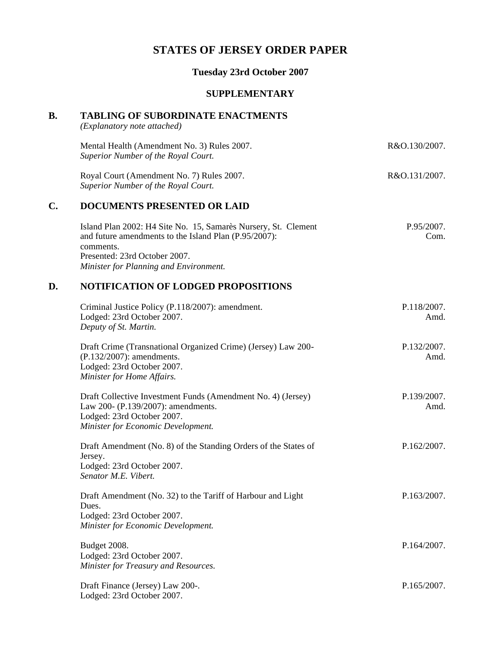# **STATES OF JERSEY ORDER PAPER**

# **Tuesday 23rd October 2007**

#### **SUPPLEMENTARY**

# **B. TABLING OF SUBORDINATE ENACTMENTS**

*(Explanatory note attached)*

|    | Mental Health (Amendment No. 3) Rules 2007.<br>Superior Number of the Royal Court.                                                                                                                              | R&O.130/2007.         |
|----|-----------------------------------------------------------------------------------------------------------------------------------------------------------------------------------------------------------------|-----------------------|
|    | Royal Court (Amendment No. 7) Rules 2007.<br>Superior Number of the Royal Court.                                                                                                                                | R&O.131/2007.         |
| C. | <b>DOCUMENTS PRESENTED OR LAID</b>                                                                                                                                                                              |                       |
|    | Island Plan 2002: H4 Site No. 15, Samarès Nursery, St. Clement<br>and future amendments to the Island Plan (P.95/2007):<br>comments.<br>Presented: 23rd October 2007.<br>Minister for Planning and Environment. | $P.95/2007$ .<br>Com. |

# **D. NOTIFICATION OF LODGED PROPOSITIONS**

| Criminal Justice Policy (P.118/2007): amendment.<br>Lodged: 23rd October 2007.<br>Deputy of St. Martin.                                                                | P.118/2007.<br>Amd. |
|------------------------------------------------------------------------------------------------------------------------------------------------------------------------|---------------------|
| Draft Crime (Transnational Organized Crime) (Jersey) Law 200-<br>(P.132/2007): amendments.<br>Lodged: 23rd October 2007.<br>Minister for Home Affairs.                 | P.132/2007.<br>Amd. |
| Draft Collective Investment Funds (Amendment No. 4) (Jersey)<br>Law 200- (P.139/2007): amendments.<br>Lodged: 23rd October 2007.<br>Minister for Economic Development. | P.139/2007.<br>Amd. |
| Draft Amendment (No. 8) of the Standing Orders of the States of<br>Jersey.<br>Lodged: 23rd October 2007.<br>Senator M.E. Vibert.                                       | P.162/2007.         |
| Draft Amendment (No. 32) to the Tariff of Harbour and Light<br>Dues.<br>Lodged: 23rd October 2007.<br>Minister for Economic Development.                               | P.163/2007.         |
| Budget 2008.<br>Lodged: 23rd October 2007.<br>Minister for Treasury and Resources.                                                                                     | P.164/2007.         |
| Draft Finance (Jersey) Law 200-.<br>Lodged: 23rd October 2007.                                                                                                         | P.165/2007.         |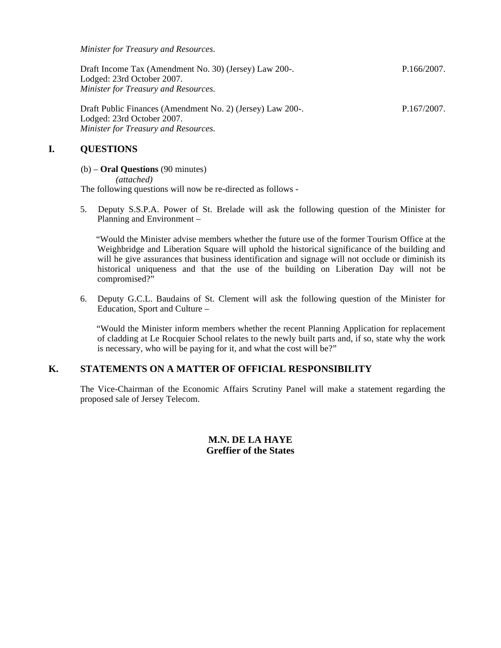*Minister for Treasury and Resources.*

| Draft Income Tax (Amendment No. 30) (Jersey) Law 200-. | P.166/2007. |
|--------------------------------------------------------|-------------|
| Lodged: 23rd October 2007.                             |             |
| Minister for Treasury and Resources.                   |             |

Draft Public Finances (Amendment No. 2) (Jersey) Law 200-. Lodged: 23rd October 2007. *Minister for Treasury and Resources.* P.167/2007.

# **I. QUESTIONS**

#### (b) – **Oral Questions** (90 minutes)

*(attached)* The following questions will now be re-directed as follows -

5. Deputy S.S.P.A. Power of St. Brelade will ask the following question of the Minister for Planning and Environment –

 "Would the Minister advise members whether the future use of the former Tourism Office at the Weighbridge and Liberation Square will uphold the historical significance of the building and will he give assurances that business identification and signage will not occlude or diminish its historical uniqueness and that the use of the building on Liberation Day will not be compromised?"

6. Deputy G.C.L. Baudains of St. Clement will ask the following question of the Minister for Education, Sport and Culture –

 "Would the Minister inform members whether the recent Planning Application for replacement of cladding at Le Rocquier School relates to the newly built parts and, if so, state why the work is necessary, who will be paying for it, and what the cost will be?"

## **K. STATEMENTS ON A MATTER OF OFFICIAL RESPONSIBILITY**

The Vice-Chairman of the Economic Affairs Scrutiny Panel will make a statement regarding the proposed sale of Jersey Telecom.

## **M.N. DE LA HAYE Greffier of the States**